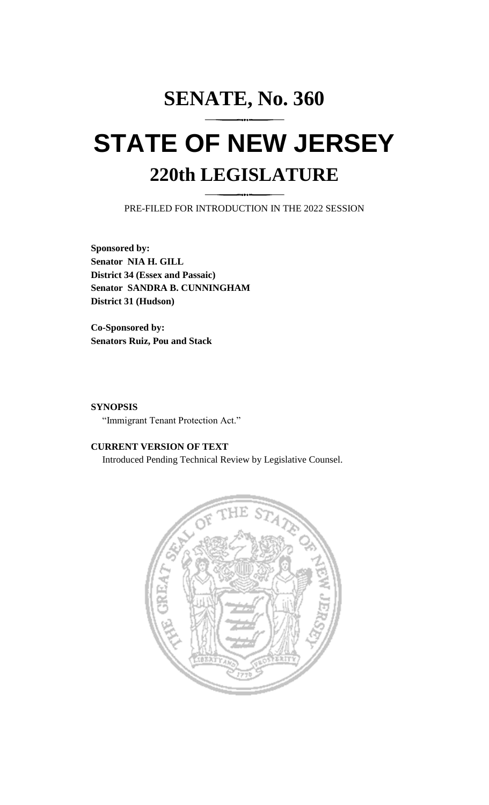# **SENATE, No. 360 STATE OF NEW JERSEY 220th LEGISLATURE**

PRE-FILED FOR INTRODUCTION IN THE 2022 SESSION

**Sponsored by: Senator NIA H. GILL District 34 (Essex and Passaic) Senator SANDRA B. CUNNINGHAM District 31 (Hudson)**

**Co-Sponsored by: Senators Ruiz, Pou and Stack**

## **SYNOPSIS**

"Immigrant Tenant Protection Act."

## **CURRENT VERSION OF TEXT**

Introduced Pending Technical Review by Legislative Counsel.

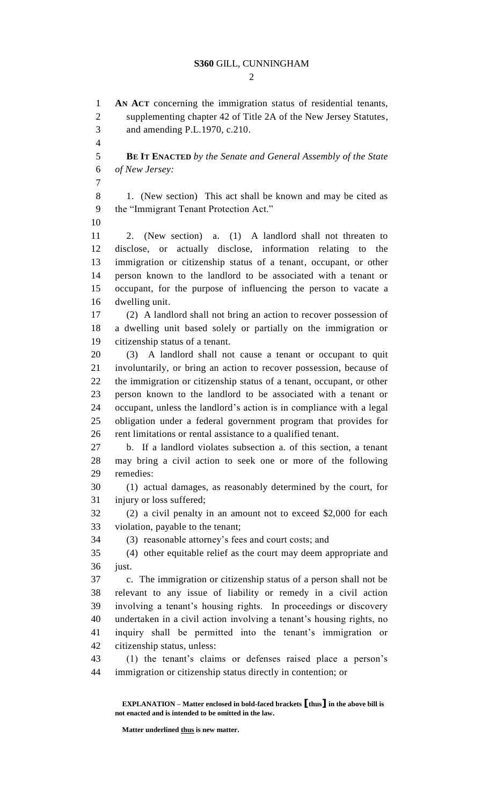#### **S360** GILL, CUNNINGHAM

 $\mathcal{D}$ 

 **AN ACT** concerning the immigration status of residential tenants, supplementing chapter 42 of Title 2A of the New Jersey Statutes, and amending P.L.1970, c.210. **BE IT ENACTED** *by the Senate and General Assembly of the State of New Jersey:* 8 1. (New section) This act shall be known and may be cited as the "Immigrant Tenant Protection Act." 2. (New section) a. (1) A landlord shall not threaten to disclose, or actually disclose, information relating to the immigration or citizenship status of a tenant, occupant, or other person known to the landlord to be associated with a tenant or occupant, for the purpose of influencing the person to vacate a dwelling unit. (2) A landlord shall not bring an action to recover possession of a dwelling unit based solely or partially on the immigration or citizenship status of a tenant. (3) A landlord shall not cause a tenant or occupant to quit involuntarily, or bring an action to recover possession, because of the immigration or citizenship status of a tenant, occupant, or other person known to the landlord to be associated with a tenant or occupant, unless the landlord's action is in compliance with a legal obligation under a federal government program that provides for rent limitations or rental assistance to a qualified tenant. b. If a landlord violates subsection a. of this section, a tenant may bring a civil action to seek one or more of the following remedies: (1) actual damages, as reasonably determined by the court, for injury or loss suffered; (2) a civil penalty in an amount not to exceed \$2,000 for each violation, payable to the tenant; (3) reasonable attorney's fees and court costs; and (4) other equitable relief as the court may deem appropriate and just. c. The immigration or citizenship status of a person shall not be relevant to any issue of liability or remedy in a civil action involving a tenant's housing rights. In proceedings or discovery undertaken in a civil action involving a tenant's housing rights, no inquiry shall be permitted into the tenant's immigration or citizenship status, unless: (1) the tenant's claims or defenses raised place a person's immigration or citizenship status directly in contention; or

**EXPLANATION – Matter enclosed in bold-faced brackets [thus] in the above bill is not enacted and is intended to be omitted in the law.**

**Matter underlined thus is new matter.**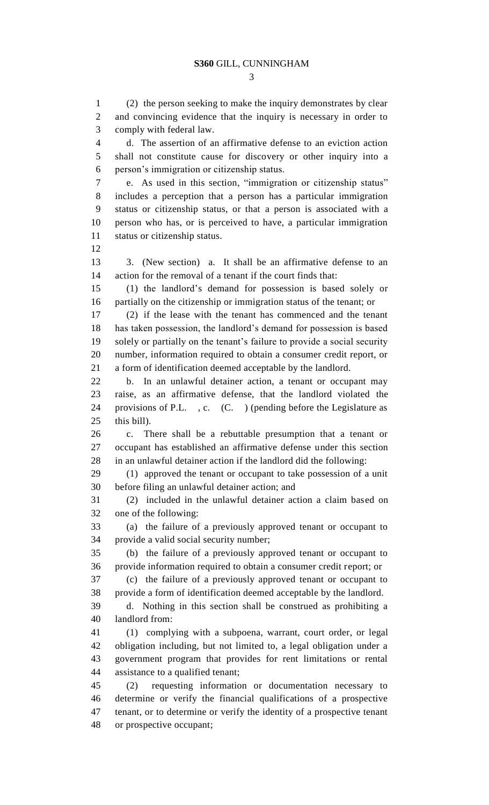(2) the person seeking to make the inquiry demonstrates by clear and convincing evidence that the inquiry is necessary in order to comply with federal law.

 d. The assertion of an affirmative defense to an eviction action shall not constitute cause for discovery or other inquiry into a person's immigration or citizenship status.

 e. As used in this section, "immigration or citizenship status" includes a perception that a person has a particular immigration status or citizenship status, or that a person is associated with a person who has, or is perceived to have, a particular immigration status or citizenship status.

 3. (New section) a. It shall be an affirmative defense to an action for the removal of a tenant if the court finds that:

 (1) the landlord's demand for possession is based solely or partially on the citizenship or immigration status of the tenant; or

 (2) if the lease with the tenant has commenced and the tenant has taken possession, the landlord's demand for possession is based solely or partially on the tenant's failure to provide a social security number, information required to obtain a consumer credit report, or a form of identification deemed acceptable by the landlord.

 b. In an unlawful detainer action, a tenant or occupant may raise, as an affirmative defense, that the landlord violated the provisions of P.L. , c. (C. ) (pending before the Legislature as this bill).

 c. There shall be a rebuttable presumption that a tenant or occupant has established an affirmative defense under this section in an unlawful detainer action if the landlord did the following:

 (1) approved the tenant or occupant to take possession of a unit before filing an unlawful detainer action; and

 (2) included in the unlawful detainer action a claim based on one of the following:

 (a) the failure of a previously approved tenant or occupant to provide a valid social security number;

 (b) the failure of a previously approved tenant or occupant to provide information required to obtain a consumer credit report; or

 (c) the failure of a previously approved tenant or occupant to provide a form of identification deemed acceptable by the landlord.

 d. Nothing in this section shall be construed as prohibiting a landlord from:

 (1) complying with a subpoena, warrant, court order, or legal obligation including, but not limited to, a legal obligation under a government program that provides for rent limitations or rental assistance to a qualified tenant;

 (2) requesting information or documentation necessary to determine or verify the financial qualifications of a prospective tenant, or to determine or verify the identity of a prospective tenant or prospective occupant;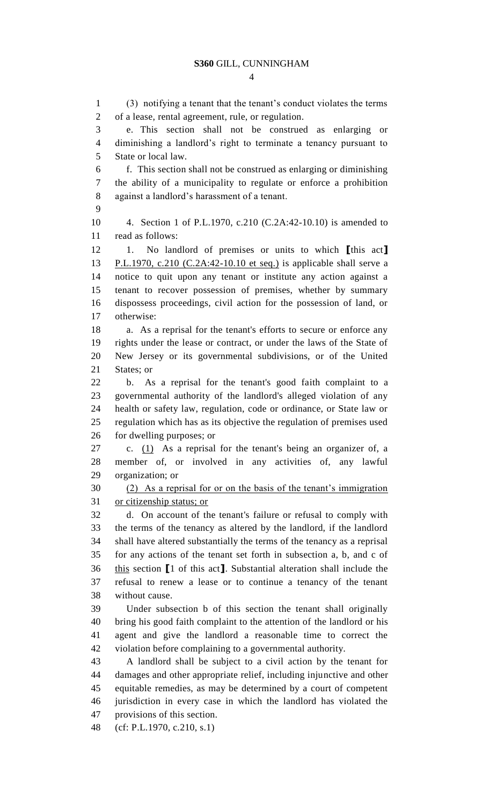$\Delta$ 

 (3) notifying a tenant that the tenant's conduct violates the terms of a lease, rental agreement, rule, or regulation. e. This section shall not be construed as enlarging or diminishing a landlord's right to terminate a tenancy pursuant to State or local law. f. This section shall not be construed as enlarging or diminishing the ability of a municipality to regulate or enforce a prohibition against a landlord's harassment of a tenant. 4. Section 1 of P.L.1970, c.210 (C.2A:42-10.10) is amended to read as follows: 1. No landlord of premises or units to which **[**this act**]** 13 P.L.1970, c.210 (C.2A:42-10.10 et seq.) is applicable shall serve a notice to quit upon any tenant or institute any action against a tenant to recover possession of premises, whether by summary dispossess proceedings, civil action for the possession of land, or otherwise: a. As a reprisal for the tenant's efforts to secure or enforce any rights under the lease or contract, or under the laws of the State of New Jersey or its governmental subdivisions, or of the United States; or b. As a reprisal for the tenant's good faith complaint to a governmental authority of the landlord's alleged violation of any health or safety law, regulation, code or ordinance, or State law or regulation which has as its objective the regulation of premises used for dwelling purposes; or c. (1) As a reprisal for the tenant's being an organizer of, a member of, or involved in any activities of, any lawful organization; or (2) As a reprisal for or on the basis of the tenant's immigration or citizenship status; or d. On account of the tenant's failure or refusal to comply with the terms of the tenancy as altered by the landlord, if the landlord shall have altered substantially the terms of the tenancy as a reprisal for any actions of the tenant set forth in subsection a, b, and c of this section **[**1 of this act**]**. Substantial alteration shall include the refusal to renew a lease or to continue a tenancy of the tenant without cause. Under subsection b of this section the tenant shall originally bring his good faith complaint to the attention of the landlord or his agent and give the landlord a reasonable time to correct the violation before complaining to a governmental authority. A landlord shall be subject to a civil action by the tenant for damages and other appropriate relief, including injunctive and other equitable remedies, as may be determined by a court of competent jurisdiction in every case in which the landlord has violated the provisions of this section. (cf: P.L.1970, c.210, s.1)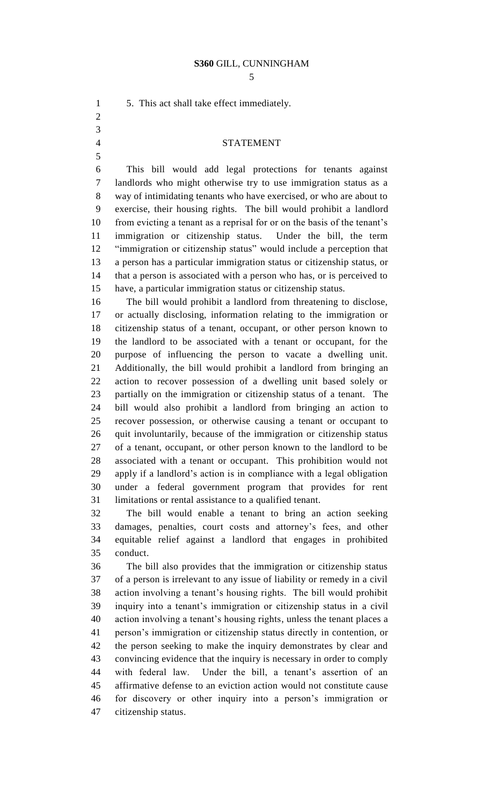5. This act shall take effect immediately.

 

### STATEMENT

 This bill would add legal protections for tenants against landlords who might otherwise try to use immigration status as a way of intimidating tenants who have exercised, or who are about to exercise, their housing rights. The bill would prohibit a landlord from evicting a tenant as a reprisal for or on the basis of the tenant's immigration or citizenship status. Under the bill, the term "immigration or citizenship status" would include a perception that a person has a particular immigration status or citizenship status, or that a person is associated with a person who has, or is perceived to have, a particular immigration status or citizenship status.

 The bill would prohibit a landlord from threatening to disclose, or actually disclosing, information relating to the immigration or citizenship status of a tenant, occupant, or other person known to the landlord to be associated with a tenant or occupant, for the purpose of influencing the person to vacate a dwelling unit. Additionally, the bill would prohibit a landlord from bringing an action to recover possession of a dwelling unit based solely or partially on the immigration or citizenship status of a tenant. The bill would also prohibit a landlord from bringing an action to recover possession, or otherwise causing a tenant or occupant to quit involuntarily, because of the immigration or citizenship status of a tenant, occupant, or other person known to the landlord to be associated with a tenant or occupant. This prohibition would not apply if a landlord's action is in compliance with a legal obligation under a federal government program that provides for rent limitations or rental assistance to a qualified tenant.

 The bill would enable a tenant to bring an action seeking damages, penalties, court costs and attorney's fees, and other equitable relief against a landlord that engages in prohibited conduct.

 The bill also provides that the immigration or citizenship status of a person is irrelevant to any issue of liability or remedy in a civil action involving a tenant's housing rights. The bill would prohibit inquiry into a tenant's immigration or citizenship status in a civil action involving a tenant's housing rights, unless the tenant places a person's immigration or citizenship status directly in contention, or the person seeking to make the inquiry demonstrates by clear and convincing evidence that the inquiry is necessary in order to comply with federal law. Under the bill, a tenant's assertion of an affirmative defense to an eviction action would not constitute cause for discovery or other inquiry into a person's immigration or citizenship status.